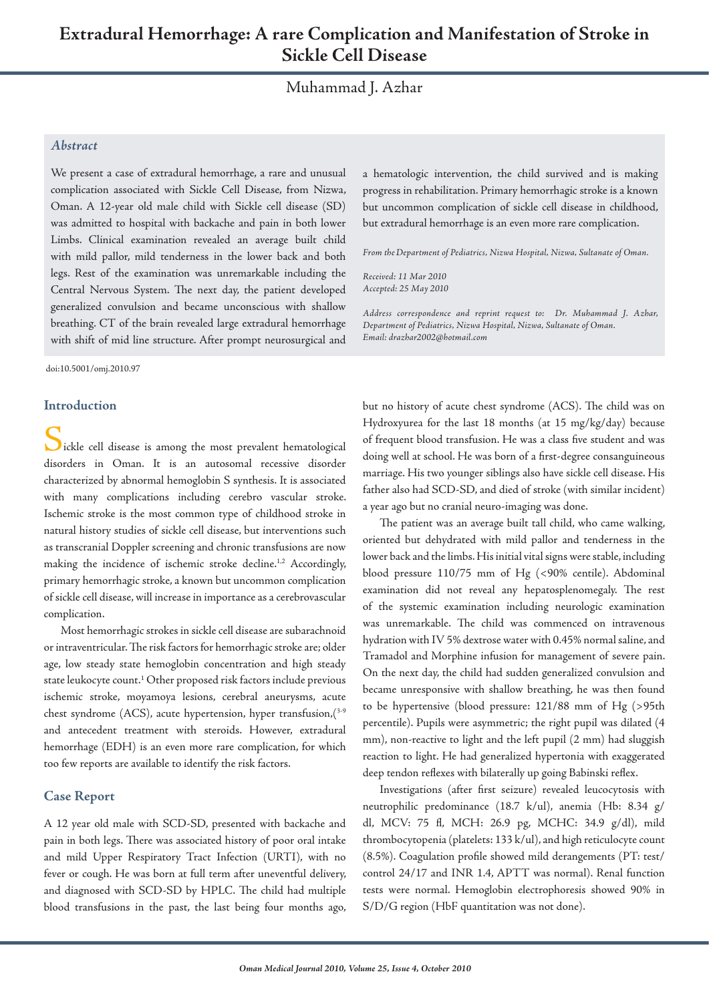# Muhammad J. Azhar

## *Abstract*

We present a case of extradural hemorrhage, a rare and unusual complication associated with Sickle Cell Disease, from Nizwa, Oman. A 12-year old male child with Sickle cell disease (SD) was admitted to hospital with backache and pain in both lower Limbs. Clinical examination revealed an average built child with mild pallor, mild tenderness in the lower back and both legs. Rest of the examination was unremarkable including the Central Nervous System. The next day, the patient developed generalized convulsion and became unconscious with shallow breathing. CT of the brain revealed large extradural hemorrhage with shift of mid line structure. After prompt neurosurgical and

doi:10.5001/omj.2010.97

## **Introduction**

lickle cell disease is among the most prevalent hematological disorders in Oman. It is an autosomal recessive disorder characterized by abnormal hemoglobin S synthesis. It is associated with many complications including cerebro vascular stroke. Ischemic stroke is the most common type of childhood stroke in natural history studies of sickle cell disease, but interventions such as transcranial Doppler screening and chronic transfusions are now making the incidence of ischemic stroke decline.<sup>1,2</sup> Accordingly, primary hemorrhagic stroke, a known but uncommon complication of sickle cell disease, will increase in importance as a cerebrovascular complication.

Most hemorrhagic strokes in sickle cell disease are subarachnoid or intraventricular. The risk factors for hemorrhagic stroke are; older age, low steady state hemoglobin concentration and high steady state leukocyte count.<sup>1</sup> Other proposed risk factors include previous ischemic stroke, moyamoya lesions, cerebral aneurysms, acute chest syndrome (ACS), acute hypertension, hyper transfusion,  $(3-9)$ and antecedent treatment with steroids. However, extradural hemorrhage (EDH) is an even more rare complication, for which too few reports are available to identify the risk factors.

## **Case Report**

A 12 year old male with SCD-SD, presented with backache and pain in both legs. There was associated history of poor oral intake and mild Upper Respiratory Tract Infection (URTI), with no fever or cough. He was born at full term after uneventful delivery, and diagnosed with SCD-SD by HPLC. The child had multiple blood transfusions in the past, the last being four months ago, a hematologic intervention, the child survived and is making progress in rehabilitation. Primary hemorrhagic stroke is a known but uncommon complication of sickle cell disease in childhood, but extradural hemorrhage is an even more rare complication.

*From theDepartment of Pediatrics, Nizwa Hospital, Nizwa, Sultanate of Oman.*

*Received: 11 Mar 2010 Accepted: 25 May 2010*

*Address correspondence and reprint request to: Dr. Muhammad J. Azhar, Department of Pediatrics, Nizwa Hospital, Nizwa, Sultanate of Oman. Email: drazhar2002@hotmail.com*

but no history of acute chest syndrome (ACS). The child was on Hydroxyurea for the last 18 months (at 15 mg/kg/day) because of frequent blood transfusion. He was a class five student and was doing well at school. He was born of a first-degree consanguineous marriage. His two younger siblings also have sickle cell disease. His father also had SCD-SD, and died of stroke (with similar incident) a year ago but no cranial neuro-imaging was done.

The patient was an average built tall child, who came walking, oriented but dehydrated with mild pallor and tenderness in the lower back and the limbs. His initial vital signs were stable, including blood pressure 110/75 mm of Hg (<90% centile). Abdominal examination did not reveal any hepatosplenomegaly. The rest of the systemic examination including neurologic examination was unremarkable. The child was commenced on intravenous hydration with IV 5% dextrose water with 0.45% normal saline, and Tramadol and Morphine infusion for management of severe pain. On the next day, the child had sudden generalized convulsion and became unresponsive with shallow breathing, he was then found to be hypertensive (blood pressure: 121/88 mm of Hg (>95th percentile). Pupils were asymmetric; the right pupil was dilated (4 mm), non-reactive to light and the left pupil (2 mm) had sluggish reaction to light. He had generalized hypertonia with exaggerated deep tendon reflexes with bilaterally up going Babinski reflex.

Investigations (after first seizure) revealed leucocytosis with neutrophilic predominance (18.7 k/ul), anemia (Hb: 8.34 g/ dl, MCV: 75 fl, MCH: 26.9 pg, MCHC: 34.9 g/dl), mild thrombocytopenia (platelets: 133 k/ul), and high reticulocyte count (8.5%). Coagulation profile showed mild derangements (PT: test/ control 24/17 and INR 1.4, APTT was normal). Renal function tests were normal. Hemoglobin electrophoresis showed 90% in S/D/G region (HbF quantitation was not done).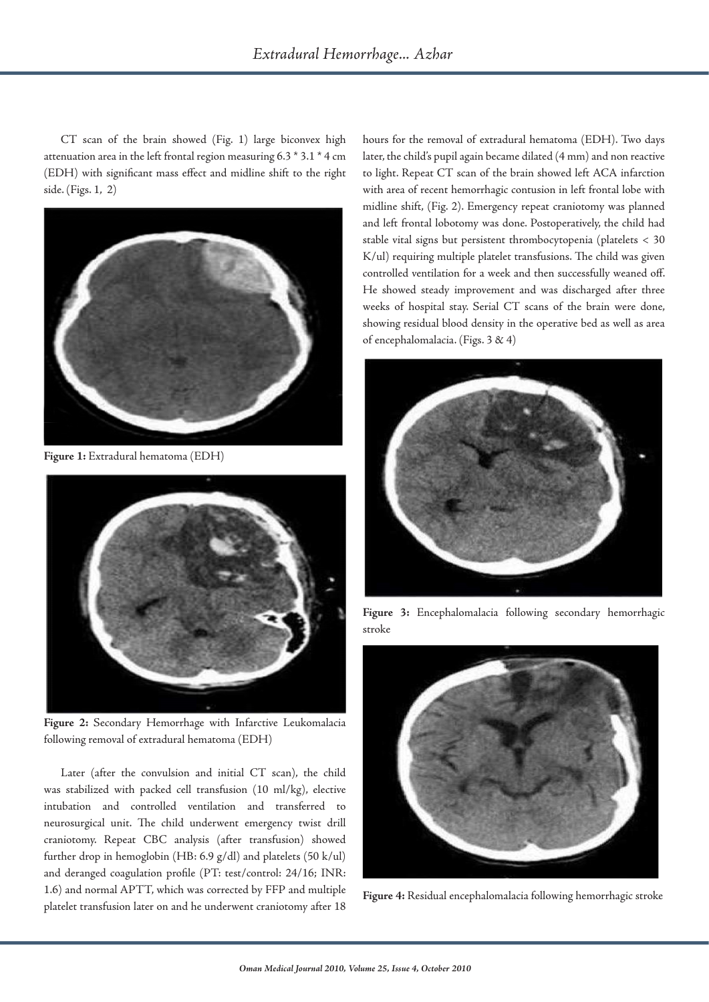CT scan of the brain showed (Fig. 1) large biconvex high attenuation area in the left frontal region measuring 6.3 \* 3.1 \* 4 cm (EDH) with significant mass effect and midline shift to the right side. (Figs. 1, 2)



**Figure 1:** Extradural hematoma (EDH)



**Figure 2:** Secondary Hemorrhage with Infarctive Leukomalacia following removal of extradural hematoma (EDH)

Later (after the convulsion and initial CT scan), the child was stabilized with packed cell transfusion (10 ml/kg), elective intubation and controlled ventilation and transferred to neurosurgical unit. The child underwent emergency twist drill craniotomy. Repeat CBC analysis (after transfusion) showed further drop in hemoglobin (HB: 6.9 g/dl) and platelets (50 k/ul) and deranged coagulation profile (PT: test/control: 24/16; INR: 1.6) and normal APTT, which was corrected by FFP and multiple platelet transfusion later on and he underwent craniotomy after 18

hours for the removal of extradural hematoma (EDH). Two days later, the child's pupil again became dilated (4 mm) and non reactive to light. Repeat CT scan of the brain showed left ACA infarction with area of recent hemorrhagic contusion in left frontal lobe with midline shift, (Fig. 2). Emergency repeat craniotomy was planned and left frontal lobotomy was done. Postoperatively, the child had stable vital signs but persistent thrombocytopenia (platelets < 30 K/ul) requiring multiple platelet transfusions. The child was given controlled ventilation for a week and then successfully weaned off. He showed steady improvement and was discharged after three weeks of hospital stay. Serial CT scans of the brain were done, showing residual blood density in the operative bed as well as area of encephalomalacia. (Figs. 3 & 4)



**Figure 3:** Encephalomalacia following secondary hemorrhagic stroke



**Figure 4:** Residual encephalomalacia following hemorrhagic stroke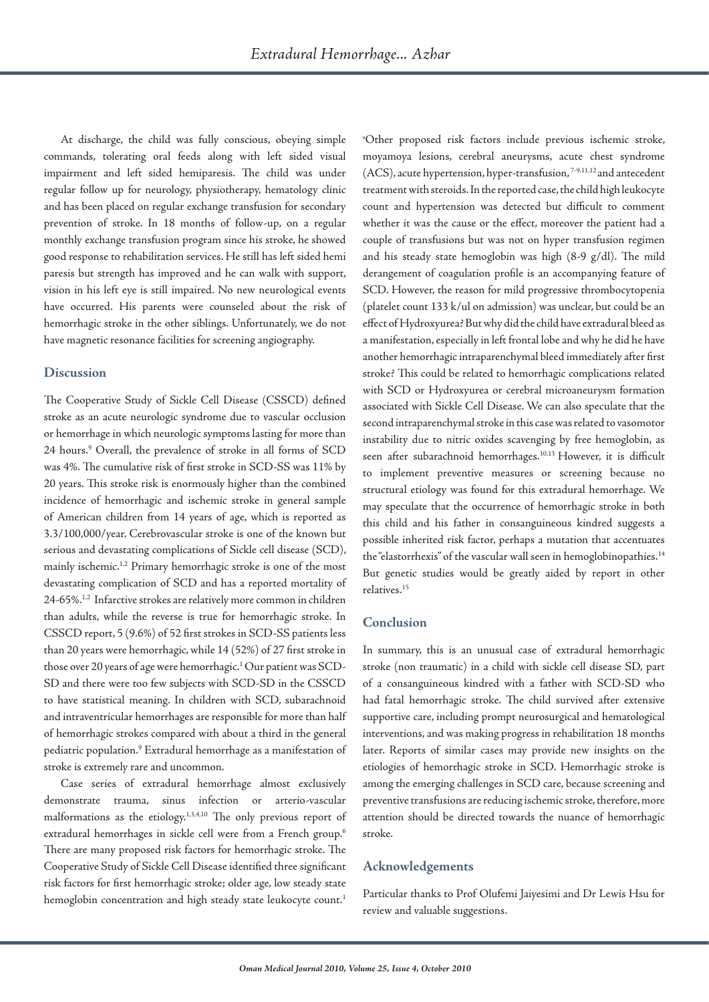At discharge, the child was fully conscious, obeying simple commands, tolerating oral feeds along with left sided visual impairment and left sided hemiparesis. The child was under regular follow up for neurology, physiotherapy, hematology clinic and has been placed on regular exchange transfusion for secondary prevention of stroke. In 18 months of follow-up, on a regular monthly exchange transfusion program since his stroke, he showed good response to rehabilitation services. He still has left sided hemi paresis but strength has improved and he can walk with support, vision in his left eye is still impaired. No new neurological events have occurred. His parents were counseled about the risk of hemorrhagic stroke in the other siblings. Unfortunately, we do not have magnetic resonance facilities for screening angiography.

#### **Discussion**

The Cooperative Study of Sickle Cell Disease (CSSCD) defined stroke as an acute neurologic syndrome due to vascular occlusion or hemorrhage in which neurologic symptoms lasting for more than 24 hours.<sup>9</sup> Overall, the prevalence of stroke in all forms of SCD was 4%. The cumulative risk of first stroke in SCD-SS was 11% by 20 years. This stroke risk is enormously higher than the combined incidence of hemorrhagic and ischemic stroke in general sample of American children from 14 years of age, which is reported as 3.3/100,000/year. Cerebrovascular stroke is one of the known but serious and devastating complications of Sickle cell disease (SCD), mainly ischemic.<sup>1,2</sup> Primary hemorrhagic stroke is one of the most devastating complication of SCD and has a reported mortality of 24-65%.<sup>1,2</sup> Infarctive strokes are relatively more common in children than adults, while the reverse is true for hemorrhagic stroke. In CSSCD report, 5 (9.6%) of 52 first strokes in SCD-SS patients less than 20 years were hemorrhagic, while 14 (52%) of 27 first stroke in those over 20 years of age were hemorrhagic.<sup>1</sup> Our patient was SCD-SD and there were too few subjects with SCD-SD in the CSSCD to have statistical meaning. In children with SCD, subarachnoid and intraventricular hemorrhages are responsible for more than half of hemorrhagic strokes compared with about a third in the general pediatric population.9 Extradural hemorrhage as a manifestation of stroke is extremely rare and uncommon.

Case series of extradural hemorrhage almost exclusively demonstrate trauma, sinus infection or arterio-vascular malformations as the etiology.1,3,4,10 The only previous report of extradural hemorrhages in sickle cell were from a French group.<sup>6</sup> There are many proposed risk factors for hemorrhagic stroke. The Cooperative Study of Sickle Cell Disease identified three significant risk factors for first hemorrhagic stroke; older age, low steady state hemoglobin concentration and high steady state leukocyte count.<sup>1</sup>

s Other proposed risk factors include previous ischemic stroke, moyamoya lesions, cerebral aneurysms, acute chest syndrome (ACS), acute hypertension, hyper-transfusion, 7-9,11,12 and antecedent treatment with steroids. In the reported case, the child high leukocyte count and hypertension was detected but difficult to comment whether it was the cause or the effect, moreover the patient had a couple of transfusions but was not on hyper transfusion regimen and his steady state hemoglobin was high (8-9 g/dl). The mild derangement of coagulation profile is an accompanying feature of SCD. However, the reason for mild progressive thrombocytopenia (platelet count 133 k/ul on admission) was unclear, but could be an effect of Hydroxyurea? But why did the child have extradural bleed as a manifestation, especially in left frontal lobe and why he did he have another hemorrhagic intraparenchymal bleed immediately after first stroke? This could be related to hemorrhagic complications related with SCD or Hydroxyurea or cerebral microaneurysm formation associated with Sickle Cell Disease. We can also speculate that the second intraparenchymal stroke in this case was related to vasomotor instability due to nitric oxides scavenging by free hemoglobin, as seen after subarachnoid hemorrhages.<sup>10,13</sup> However, it is difficult to implement preventive measures or screening because no structural etiology was found for this extradural hemorrhage. We may speculate that the occurrence of hemorrhagic stroke in both this child and his father in consanguineous kindred suggests a possible inherited risk factor, perhaps a mutation that accentuates the "elastorrhexis" of the vascular wall seen in hemoglobinopathies.<sup>14</sup> But genetic studies would be greatly aided by report in other relatives.15

#### **Conclusion**

In summary, this is an unusual case of extradural hemorrhagic stroke (non traumatic) in a child with sickle cell disease SD, part of a consanguineous kindred with a father with SCD-SD who had fatal hemorrhagic stroke. The child survived after extensive supportive care, including prompt neurosurgical and hematological interventions, and was making progress in rehabilitation 18 months later. Reports of similar cases may provide new insights on the etiologies of hemorrhagic stroke in SCD. Hemorrhagic stroke is among the emerging challenges in SCD care, because screening and preventive transfusions are reducing ischemic stroke, therefore, more attention should be directed towards the nuance of hemorrhagic stroke.

## **Acknowledgements**

Particular thanks to Prof Olufemi Jaiyesimi and Dr Lewis Hsu for review and valuable suggestions.